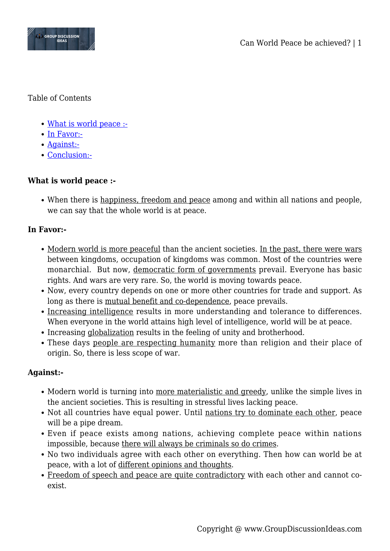

Table of Contents

- [What is world peace :-](#page--1-0)
- [In Favor:-](#page--1-0)
- [Against:-](#page--1-0)
- [Conclusion:-](#page--1-0)

## **What is world peace :-**

When there is happiness, freedom and peace among and within all nations and people, we can say that the whole world is at peace.

## **In Favor:-**

- Modern world is more peaceful than the ancient societies. In the past, there were wars between kingdoms, occupation of kingdoms was common. Most of the countries were monarchial. But now, democratic form of governments prevail. Everyone has basic rights. And wars are very rare. So, the world is moving towards peace.
- Now, every country depends on one or more other countries for trade and support. As long as there is mutual benefit and co-dependence, peace prevails.
- Increasing intelligence results in more understanding and tolerance to differences. When everyone in the world attains high level of intelligence, world will be at peace.
- Increasing globalization results in the feeling of unity and brotherhood.
- These days people are respecting humanity more than religion and their place of origin. So, there is less scope of war.

## **Against:-**

- Modern world is turning into more materialistic and greedy, unlike the simple lives in the ancient societies. This is resulting in stressful lives lacking peace.
- Not all countries have equal power. Until nations try to dominate each other, peace will be a pipe dream.
- Even if peace exists among nations, achieving complete peace within nations impossible, because there will always be criminals so do crimes.
- No two individuals agree with each other on everything. Then how can world be at peace, with a lot of different opinions and thoughts.
- Freedom of speech and peace are quite contradictory with each other and cannot coexist.